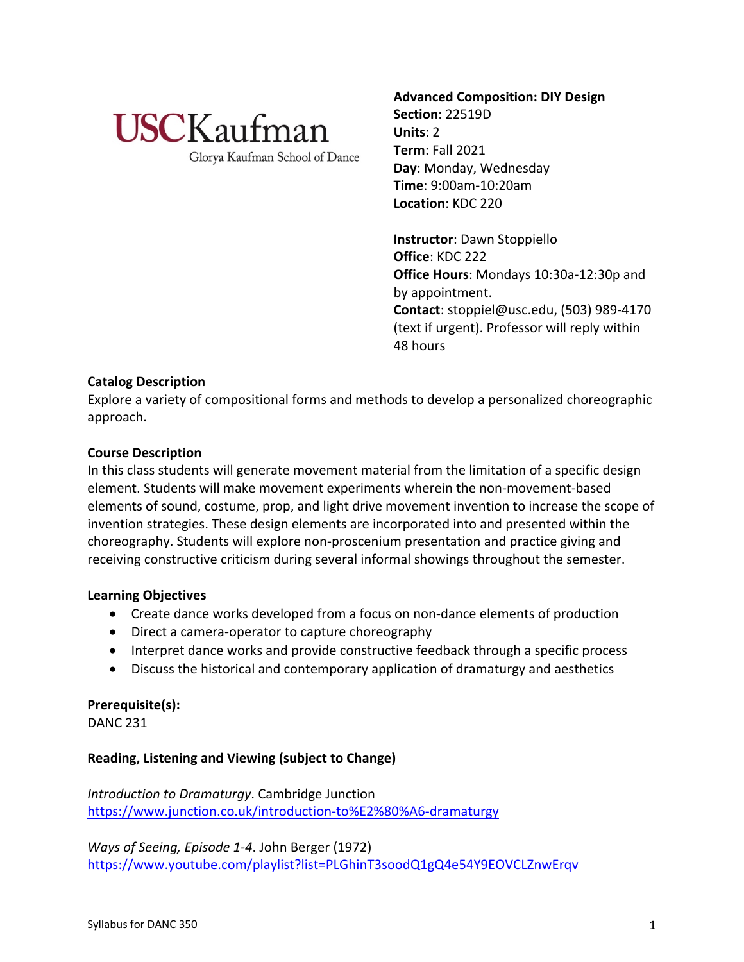

Glorya Kaufman School of Dance

**Advanced Composition: DIY Design Section**: 22519D **Units**: 2 **Term**: Fall 2021 **Day**: Monday, Wednesday **Time**: 9:00am-10:20am **Location**: KDC 220

**Instructor**: Dawn Stoppiello **Office**: KDC 222 **Office Hours**: Mondays 10:30a-12:30p and by appointment. **Contact**: stoppiel@usc.edu, (503) 989-4170 (text if urgent). Professor will reply within 48 hours

# **Catalog Description**

Explore a variety of compositional forms and methods to develop a personalized choreographic approach.

## **Course Description**

In this class students will generate movement material from the limitation of a specific design element. Students will make movement experiments wherein the non-movement-based elements of sound, costume, prop, and light drive movement invention to increase the scope of invention strategies. These design elements are incorporated into and presented within the choreography. Students will explore non-proscenium presentation and practice giving and receiving constructive criticism during several informal showings throughout the semester.

# **Learning Objectives**

- Create dance works developed from a focus on non-dance elements of production
- Direct a camera-operator to capture choreography
- Interpret dance works and provide constructive feedback through a specific process
- Discuss the historical and contemporary application of dramaturgy and aesthetics

# **Prerequisite(s):**

DANC 231

# **Reading, Listening and Viewing (subject to Change)**

*Introduction to Dramaturgy*. Cambridge Junction https://www.junction.co.uk/introduction-to%E2%80%A6-dramaturgy

*Ways of Seeing, Episode 1-4*. John Berger (1972) https://www.youtube.com/playlist?list=PLGhinT3soodQ1gQ4e54Y9EOVCLZnwErqv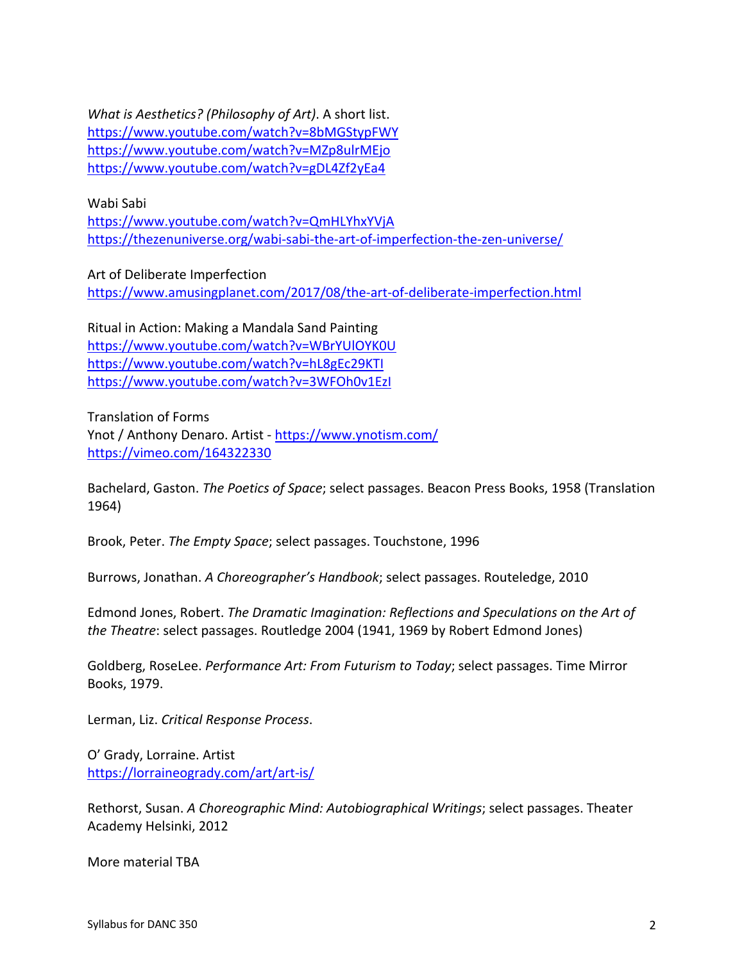*What is Aesthetics? (Philosophy of Art)*. A short list. https://www.youtube.com/watch?v=8bMGStypFWY https://www.youtube.com/watch?v=MZp8ulrMEjo https://www.youtube.com/watch?v=gDL4Zf2yEa4

Wabi Sabi

https://www.youtube.com/watch?v=QmHLYhxYVjA https://thezenuniverse.org/wabi-sabi-the-art-of-imperfection-the-zen-universe/

Art of Deliberate Imperfection https://www.amusingplanet.com/2017/08/the-art-of-deliberate-imperfection.html

Ritual in Action: Making a Mandala Sand Painting https://www.youtube.com/watch?v=WBrYUlOYK0U https://www.youtube.com/watch?v=hL8gEc29KTI https://www.youtube.com/watch?v=3WFOh0v1EzI

Translation of Forms Ynot / Anthony Denaro. Artist - https://www.ynotism.com/ https://vimeo.com/164322330

Bachelard, Gaston. *The Poetics of Space*; select passages. Beacon Press Books, 1958 (Translation 1964)

Brook, Peter. *The Empty Space*; select passages. Touchstone, 1996

Burrows, Jonathan. *A Choreographer's Handbook*; select passages. Routeledge, 2010

Edmond Jones, Robert. *The Dramatic Imagination: Reflections and Speculations on the Art of the Theatre*: select passages. Routledge 2004 (1941, 1969 by Robert Edmond Jones)

Goldberg, RoseLee. *Performance Art: From Futurism to Today*; select passages. Time Mirror Books, 1979.

Lerman, Liz. *Critical Response Process*.

O' Grady, Lorraine. Artist https://lorraineogrady.com/art/art-is/

Rethorst, Susan. *A Choreographic Mind: Autobiographical Writings*; select passages. Theater Academy Helsinki, 2012

More material TBA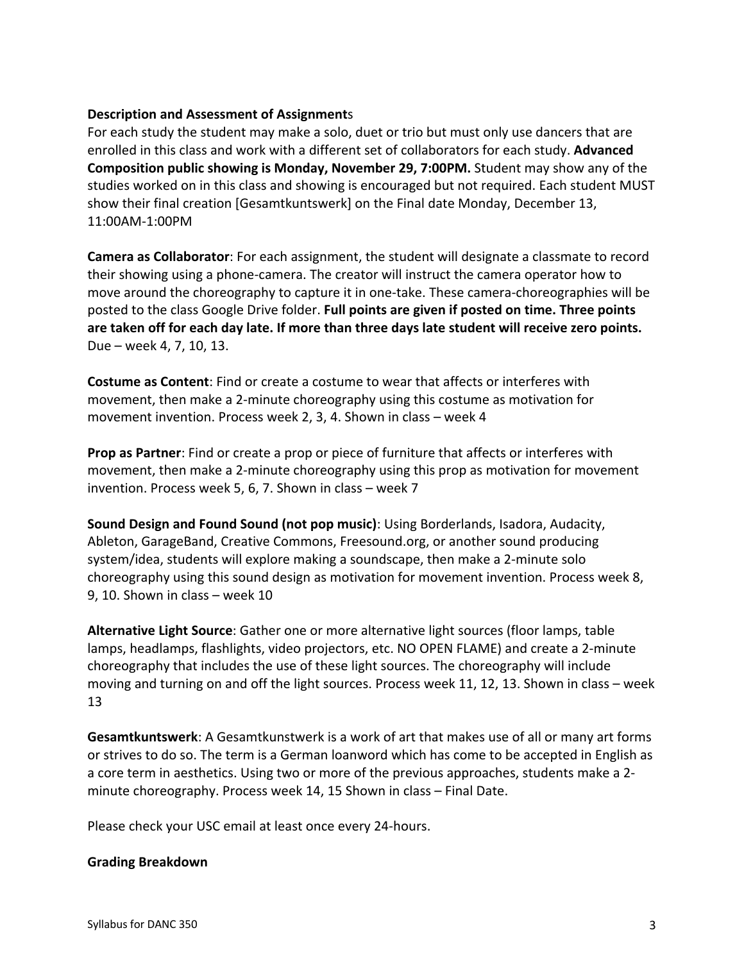# **Description and Assessment of Assignment**s

For each study the student may make a solo, duet or trio but must only use dancers that are enrolled in this class and work with a different set of collaborators for each study. **Advanced Composition public showing is Monday, November 29, 7:00PM.** Student may show any of the studies worked on in this class and showing is encouraged but not required. Each student MUST show their final creation [Gesamtkuntswerk] on the Final date Monday, December 13, 11:00AM-1:00PM

**Camera as Collaborator**: For each assignment, the student will designate a classmate to record their showing using a phone-camera. The creator will instruct the camera operator how to move around the choreography to capture it in one-take. These camera-choreographies will be posted to the class Google Drive folder. **Full points are given if posted on time. Three points are taken off for each day late. If more than three days late student will receive zero points.** Due – week 4, 7, 10, 13.

**Costume as Content**: Find or create a costume to wear that affects or interferes with movement, then make a 2-minute choreography using this costume as motivation for movement invention. Process week 2, 3, 4. Shown in class – week 4

**Prop as Partner**: Find or create a prop or piece of furniture that affects or interferes with movement, then make a 2-minute choreography using this prop as motivation for movement invention. Process week 5, 6, 7. Shown in class – week 7

**Sound Design and Found Sound (not pop music)**: Using Borderlands, Isadora, Audacity, Ableton, GarageBand, Creative Commons, Freesound.org, or another sound producing system/idea, students will explore making a soundscape, then make a 2-minute solo choreography using this sound design as motivation for movement invention. Process week 8, 9, 10. Shown in class – week 10

**Alternative Light Source**: Gather one or more alternative light sources (floor lamps, table lamps, headlamps, flashlights, video projectors, etc. NO OPEN FLAME) and create a 2-minute choreography that includes the use of these light sources. The choreography will include moving and turning on and off the light sources. Process week 11, 12, 13. Shown in class – week 13

**Gesamtkuntswerk**: A Gesamtkunstwerk is a work of art that makes use of all or many art forms or strives to do so. The term is a German loanword which has come to be accepted in English as a core term in aesthetics. Using two or more of the previous approaches, students make a 2 minute choreography. Process week 14, 15 Shown in class – Final Date.

Please check your USC email at least once every 24-hours.

#### **Grading Breakdown**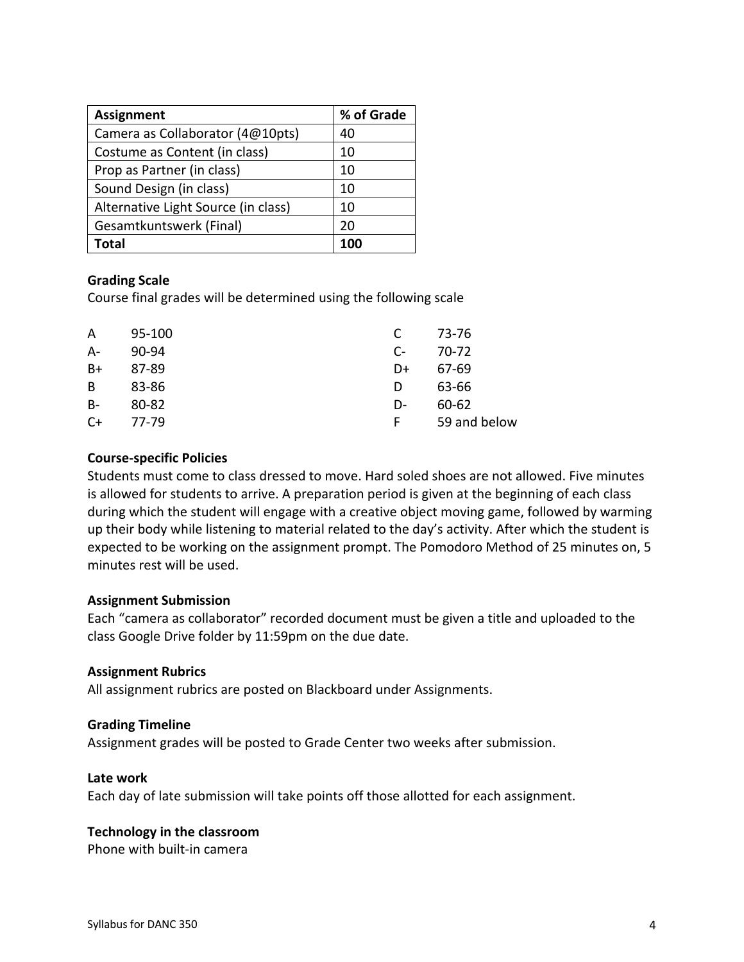| <b>Assignment</b>                   | % of Grade |
|-------------------------------------|------------|
| Camera as Collaborator (4@10pts)    | 40         |
| Costume as Content (in class)       | 10         |
| Prop as Partner (in class)          | 10         |
| Sound Design (in class)             | 10         |
| Alternative Light Source (in class) | 10         |
| Gesamtkuntswerk (Final)             | 20         |
| Total                               |            |

## **Grading Scale**

Course final grades will be determined using the following scale

| A     | 95-100 | C    | 73-76        |
|-------|--------|------|--------------|
| $A-$  | 90-94  | $C-$ | 70-72        |
| B+    | 87-89  | D+   | 67-69        |
| B     | 83-86  | D    | 63-66        |
| $B -$ | 80-82  | D-   | 60-62        |
| $C+$  | 77-79  | F    | 59 and below |
|       |        |      |              |

## **Course-specific Policies**

Students must come to class dressed to move. Hard soled shoes are not allowed. Five minutes is allowed for students to arrive. A preparation period is given at the beginning of each class during which the student will engage with a creative object moving game, followed by warming up their body while listening to material related to the day's activity. After which the student is expected to be working on the assignment prompt. The Pomodoro Method of 25 minutes on, 5 minutes rest will be used.

#### **Assignment Submission**

Each "camera as collaborator" recorded document must be given a title and uploaded to the class Google Drive folder by 11:59pm on the due date.

#### **Assignment Rubrics**

All assignment rubrics are posted on Blackboard under Assignments.

#### **Grading Timeline**

Assignment grades will be posted to Grade Center two weeks after submission.

### **Late work**

Each day of late submission will take points off those allotted for each assignment.

#### **Technology in the classroom**

Phone with built-in camera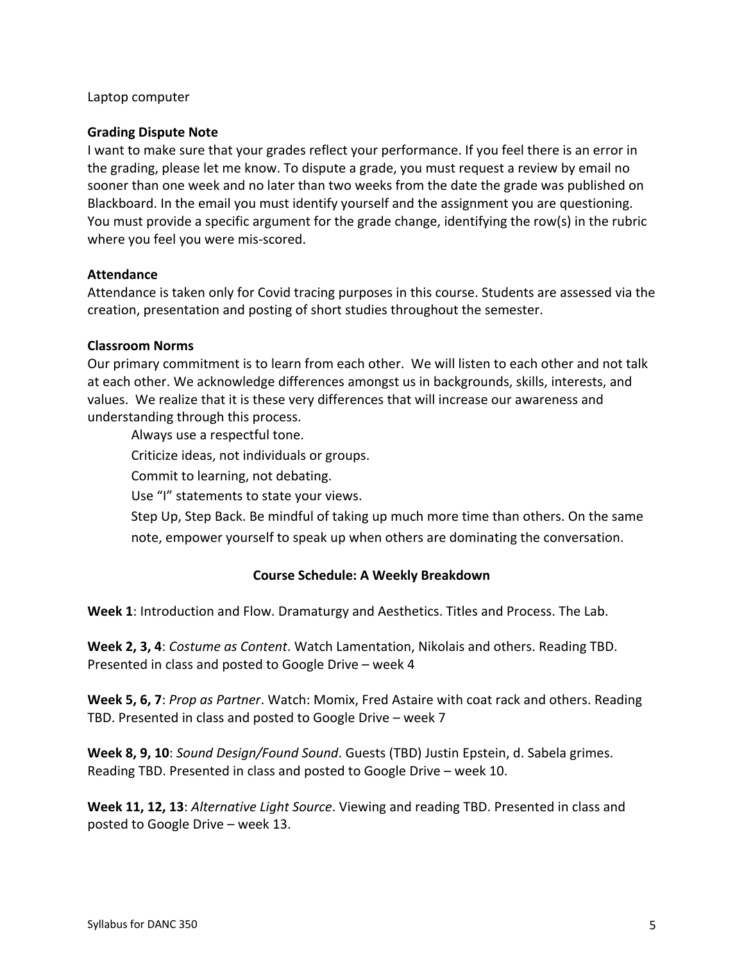## Laptop computer

## **Grading Dispute Note**

I want to make sure that your grades reflect your performance. If you feel there is an error in the grading, please let me know. To dispute a grade, you must request a review by email no sooner than one week and no later than two weeks from the date the grade was published on Blackboard. In the email you must identify yourself and the assignment you are questioning. You must provide a specific argument for the grade change, identifying the row(s) in the rubric where you feel you were mis-scored.

## **Attendance**

Attendance is taken only for Covid tracing purposes in this course. Students are assessed via the creation, presentation and posting of short studies throughout the semester.

## **Classroom Norms**

Our primary commitment is to learn from each other. We will listen to each other and not talk at each other. We acknowledge differences amongst us in backgrounds, skills, interests, and values. We realize that it is these very differences that will increase our awareness and understanding through this process.

Always use a respectful tone.

Criticize ideas, not individuals or groups.

Commit to learning, not debating.

Use "I" statements to state your views.

Step Up, Step Back. Be mindful of taking up much more time than others. On the same note, empower yourself to speak up when others are dominating the conversation.

# **Course Schedule: A Weekly Breakdown**

**Week 1**: Introduction and Flow. Dramaturgy and Aesthetics. Titles and Process. The Lab.

**Week 2, 3, 4**: *Costume as Content*. Watch Lamentation, Nikolais and others. Reading TBD. Presented in class and posted to Google Drive – week 4

**Week 5, 6, 7**: *Prop as Partner*. Watch: Momix, Fred Astaire with coat rack and others. Reading TBD. Presented in class and posted to Google Drive – week 7

**Week 8, 9, 10**: *Sound Design/Found Sound*. Guests (TBD) Justin Epstein, d. Sabela grimes. Reading TBD. Presented in class and posted to Google Drive – week 10.

**Week 11, 12, 13**: *Alternative Light Source*. Viewing and reading TBD. Presented in class and posted to Google Drive – week 13.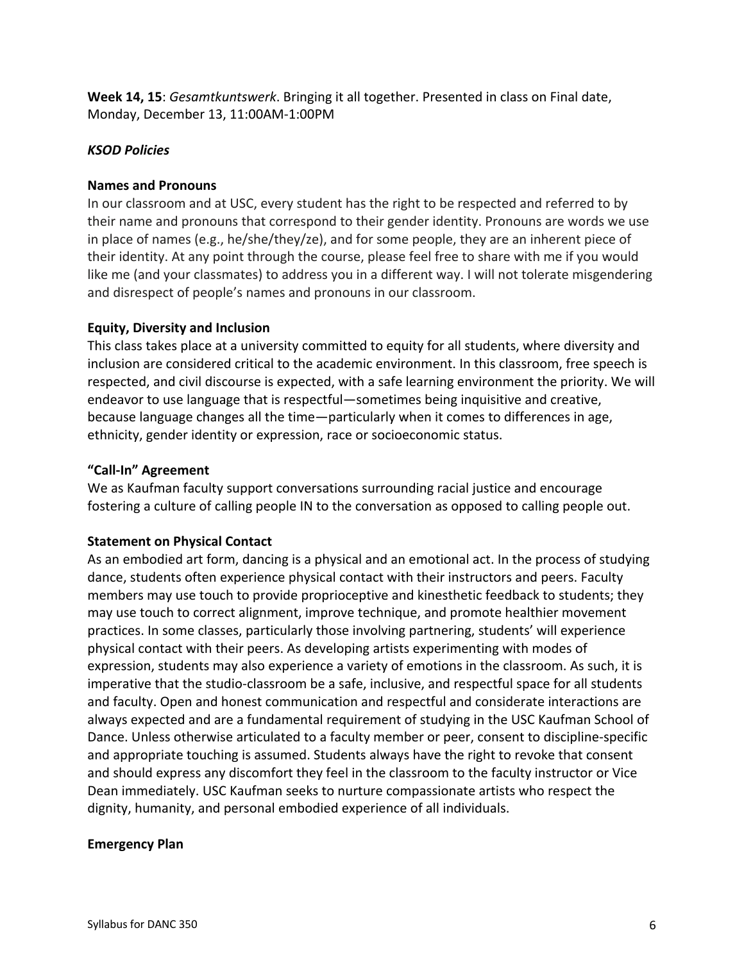**Week 14, 15**: *Gesamtkuntswerk*. Bringing it all together. Presented in class on Final date, Monday, December 13, 11:00AM-1:00PM

# *KSOD Policies*

# **Names and Pronouns**

In our classroom and at USC, every student has the right to be respected and referred to by their name and pronouns that correspond to their gender identity. Pronouns are words we use in place of names (e.g., he/she/they/ze), and for some people, they are an inherent piece of their identity. At any point through the course, please feel free to share with me if you would like me (and your classmates) to address you in a different way. I will not tolerate misgendering and disrespect of people's names and pronouns in our classroom.

# **Equity, Diversity and Inclusion**

This class takes place at a university committed to equity for all students, where diversity and inclusion are considered critical to the academic environment. In this classroom, free speech is respected, and civil discourse is expected, with a safe learning environment the priority. We will endeavor to use language that is respectful—sometimes being inquisitive and creative, because language changes all the time—particularly when it comes to differences in age, ethnicity, gender identity or expression, race or socioeconomic status.

# **"Call-In" Agreement**

We as Kaufman faculty support conversations surrounding racial justice and encourage fostering a culture of calling people IN to the conversation as opposed to calling people out.

# **Statement on Physical Contact**

As an embodied art form, dancing is a physical and an emotional act. In the process of studying dance, students often experience physical contact with their instructors and peers. Faculty members may use touch to provide proprioceptive and kinesthetic feedback to students; they may use touch to correct alignment, improve technique, and promote healthier movement practices. In some classes, particularly those involving partnering, students' will experience physical contact with their peers. As developing artists experimenting with modes of expression, students may also experience a variety of emotions in the classroom. As such, it is imperative that the studio-classroom be a safe, inclusive, and respectful space for all students and faculty. Open and honest communication and respectful and considerate interactions are always expected and are a fundamental requirement of studying in the USC Kaufman School of Dance. Unless otherwise articulated to a faculty member or peer, consent to discipline-specific and appropriate touching is assumed. Students always have the right to revoke that consent and should express any discomfort they feel in the classroom to the faculty instructor or Vice Dean immediately. USC Kaufman seeks to nurture compassionate artists who respect the dignity, humanity, and personal embodied experience of all individuals.

# **Emergency Plan**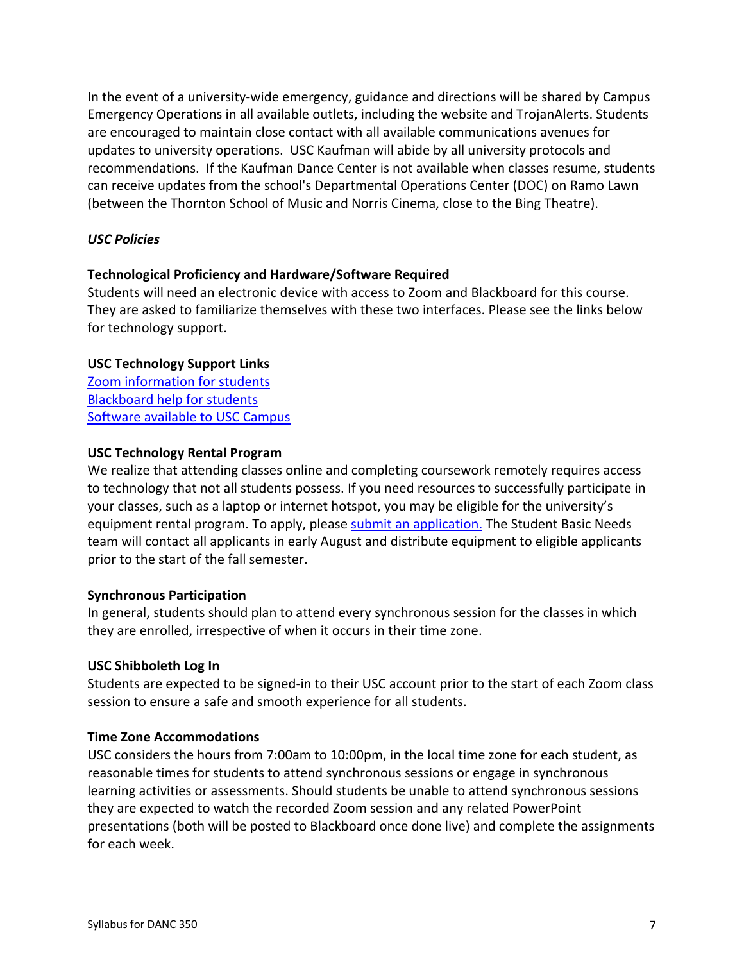In the event of a university-wide emergency, guidance and directions will be shared by Campus Emergency Operations in all available outlets, including the website and TrojanAlerts. Students are encouraged to maintain close contact with all available communications avenues for updates to university operations. USC Kaufman will abide by all university protocols and recommendations. If the Kaufman Dance Center is not available when classes resume, students can receive updates from the school's Departmental Operations Center (DOC) on Ramo Lawn (between the Thornton School of Music and Norris Cinema, close to the Bing Theatre).

# *USC Policies*

# **Technological Proficiency and Hardware/Software Required**

Students will need an electronic device with access to Zoom and Blackboard for this course. They are asked to familiarize themselves with these two interfaces. Please see the links below for technology support.

# **USC Technology Support Links**

Zoom information for students Blackboard help for students Software available to USC Campus

# **USC Technology Rental Program**

We realize that attending classes online and completing coursework remotely requires access to technology that not all students possess. If you need resources to successfully participate in your classes, such as a laptop or internet hotspot, you may be eligible for the university's equipment rental program. To apply, please submit an application. The Student Basic Needs team will contact all applicants in early August and distribute equipment to eligible applicants prior to the start of the fall semester.

# **Synchronous Participation**

In general, students should plan to attend every synchronous session for the classes in which they are enrolled, irrespective of when it occurs in their time zone.

# **USC Shibboleth Log In**

Students are expected to be signed-in to their USC account prior to the start of each Zoom class session to ensure a safe and smooth experience for all students.

# **Time Zone Accommodations**

USC considers the hours from 7:00am to 10:00pm, in the local time zone for each student, as reasonable times for students to attend synchronous sessions or engage in synchronous learning activities or assessments. Should students be unable to attend synchronous sessions they are expected to watch the recorded Zoom session and any related PowerPoint presentations (both will be posted to Blackboard once done live) and complete the assignments for each week.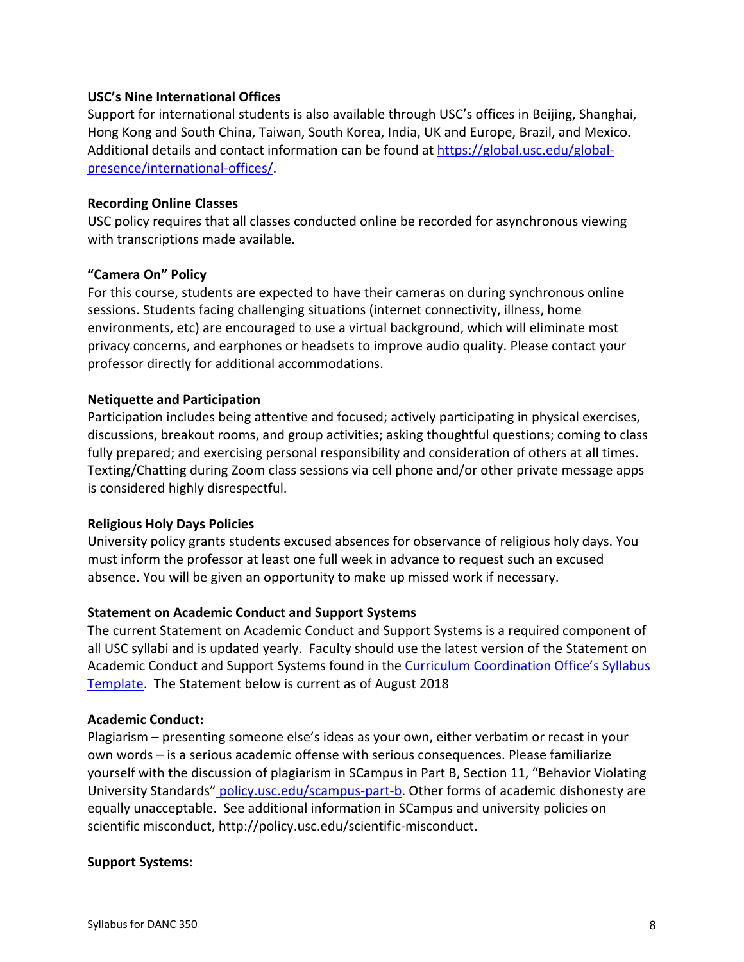## **USC's Nine International Offices**

Support for international students is also available through USC's offices in Beijing, Shanghai, Hong Kong and South China, Taiwan, South Korea, India, UK and Europe, Brazil, and Mexico. Additional details and contact information can be found at https://global.usc.edu/globalpresence/international-offices/.

## **Recording Online Classes**

USC policy requires that all classes conducted online be recorded for asynchronous viewing with transcriptions made available.

## **"Camera On" Policy**

For this course, students are expected to have their cameras on during synchronous online sessions. Students facing challenging situations (internet connectivity, illness, home environments, etc) are encouraged to use a virtual background, which will eliminate most privacy concerns, and earphones or headsets to improve audio quality. Please contact your professor directly for additional accommodations.

## **Netiquette and Participation**

Participation includes being attentive and focused; actively participating in physical exercises, discussions, breakout rooms, and group activities; asking thoughtful questions; coming to class fully prepared; and exercising personal responsibility and consideration of others at all times. Texting/Chatting during Zoom class sessions via cell phone and/or other private message apps is considered highly disrespectful.

# **Religious Holy Days Policies**

University policy grants students excused absences for observance of religious holy days. You must inform the professor at least one full week in advance to request such an excused absence. You will be given an opportunity to make up missed work if necessary.

# **Statement on Academic Conduct and Support Systems**

The current Statement on Academic Conduct and Support Systems is a required component of all USC syllabi and is updated yearly. Faculty should use the latest version of the Statement on Academic Conduct and Support Systems found in the Curriculum Coordination Office's Syllabus Template. The Statement below is current as of August 2018

# **Academic Conduct:**

Plagiarism – presenting someone else's ideas as your own, either verbatim or recast in your own words – is a serious academic offense with serious consequences. Please familiarize yourself with the discussion of plagiarism in SCampus in Part B, Section 11, "Behavior Violating University Standards" policy.usc.edu/scampus-part-b. Other forms of academic dishonesty are equally unacceptable. See additional information in SCampus and university policies on scientific misconduct, http://policy.usc.edu/scientific-misconduct.

#### **Support Systems:**